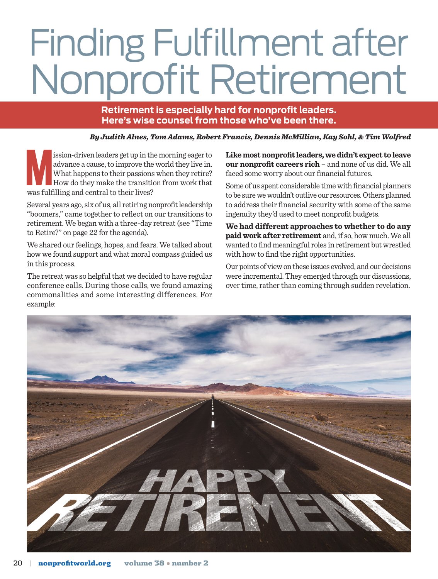# Finding Fulfillment after Nonprofit Retirement

**Retirement is especially hard for nonprofit leaders. Here's wise counsel from those who've been there.**

*By Judith Alnes, Tom Adams, Robert Francis, Dennis McMillian, Kay Sohl, & Tim Wolfred*

ission-driven leaders get up in the morning eager to advance a cause, to improve the world they live in. What happens to their passions when they retire?<br>How do they make the transition from work that was fulfilling and ce advance a cause, to improve the world they live in. What happens to their passions when they retire? How do they make the transition from work that was fulfilling and central to their lives?

Several years ago, six of us, all retiring nonprofit leadership "boomers," came together to reflect on our transitions to retirement. We began with a three-day retreat (see "Time to Retire?" on page 22 for the agenda).

We shared our feelings, hopes, and fears. We talked about how we found support and what moral compass guided us in this process.

The retreat was so helpful that we decided to have regular conference calls. During those calls, we found amazing commonalities and some interesting differences. For example:

**Like most nonprofit leaders, we didn't expect to leave our nonprofit careers rich** – and none of us did. We all faced some worry about our financial futures.

Some of us spent considerable time with financial planners to be sure we wouldn't outlive our resources. Others planned to address their financial security with some of the same ingenuity they'd used to meet nonprofit budgets.

**We had different approaches to whether to do any paid work after retirement** and, if so, how much. We all wanted to find meaningful roles in retirement but wrestled with how to find the right opportunities.

Our points of view on these issues evolved, and our decisions were incremental. They emerged through our discussions, over time, rather than coming through sudden revelation.

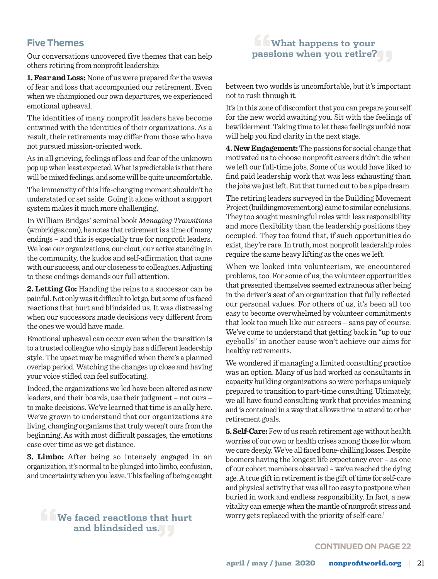## **Five Themes**

Our conversations uncovered five themes that can help others retiring from nonprofit leadership:

**1. Fear and Loss:** None of us were prepared for the waves of fear and loss that accompanied our retirement. Even when we championed our own departures, we experienced emotional upheaval.

The identities of many nonprofit leaders have become entwined with the identities of their organizations. As a result, their retirements may differ from those who have not pursued mission-oriented work.

As in all grieving, feelings of loss and fear of the unknown pop up when least expected. What is predictable is that there will be mixed feelings, and some will be quite uncomfortable.

The immensity of this life-changing moment shouldn't be understated or set aside. Going it alone without a support system makes it much more challenging.

In William Bridges' seminal book *Managing Transitions* [\(wmbridges.com\)](http://www.wmbridges.com), he notes that retirement is a time of many endings – and this is especially true for nonprofit leaders. We lose our organizations, our clout, our active standing in the community, the kudos and self-affirmation that came with our success, and our closeness to colleagues. Adjusting to these endings demands our full attention.

**2. Letting Go:** Handing the reins to a successor can be painful. Not only was it difficult to let go, but some of us faced reactions that hurt and blindsided us. It was distressing when our successors made decisions very different from the ones we would have made.

Emotional upheaval can occur even when the transition is to a trusted colleague who simply has a different leadership style. The upset may be magnified when there's a planned overlap period. Watching the changes up close and having your voice stifled can feel suffocating.

Indeed, the organizations we led have been altered as new leaders, and their boards, use their judgment – not ours – to make decisions. We've learned that time is an ally here. We've grown to understand that our organizations are living, changing organisms that truly weren't ours from the beginning. As with most difficult passages, the emotions ease over time as we get distance.

**3. Limbo:** After being so intensely engaged in an organization, it's normal to be plunged into limbo, confusion, and uncertainty when you leave. This feeling of being caught

# **"We faced reactions that hurt and blindsided us."**

# **"What happens to your passions when you retire?"**

between two worlds is uncomfortable, but it's important not to rush through it.

It's in this zone of discomfort that you can prepare yourself for the new world awaiting you. Sit with the feelings of bewilderment. Taking time to let these feelings unfold now will help you find clarity in the next stage.

**4. New Engagement:** The passions for social change that motivated us to choose nonprofit careers didn't die when we left our full-time jobs. Some of us would have liked to find paid leadership work that was less exhausting than the jobs we just left. But that turned out to be a pipe dream.

The retiring leaders surveyed in the Building Movement Project [\(buildingmovement.org\)](http://www.buildingmovement.org) came to similar conclusions. They too sought meaningful roles with less responsibility and more flexibility than the leadership positions they occupied. They too found that, if such opportunities do exist, they're rare. In truth, most nonprofit leadership roles require the same heavy lifting as the ones we left.

When we looked into volunteerism, we encountered problems, too. For some of us, the volunteer opportunities that presented themselves seemed extraneous after being in the driver's seat of an organization that fully reflected our personal values. For others of us, it's been all too easy to become overwhelmed by volunteer commitments that look too much like our careers – sans pay of course. We've come to understand that getting back in "up to our eyeballs" in another cause won't achieve our aims for healthy retirements.

We wondered if managing a limited consulting practice was an option. Many of us had worked as consultants in capacity building organizations so were perhaps uniquely prepared to transition to part-time consulting. Ultimately, we all have found consulting work that provides meaning and is contained in a way that allows time to attend to other retirement goals.

**5. Self-Care:** Few of us reach retirement age without health worries of our own or health crises among those for whom we care deeply. We've all faced bone-chilling losses. Despite boomers having the longest life expectancy ever – as one of our cohort members observed – we've reached the dying age. A true gift in retirement is the gift of time for self-care and physical activity that was all too easy to postpone when buried in work and endless responsibility. In fact, a new vitality can emerge when the mantle of nonprofit stress and worry gets replaced with the priority of self-care.<sup>1</sup>

#### **CONTINUED ON PAGE 22**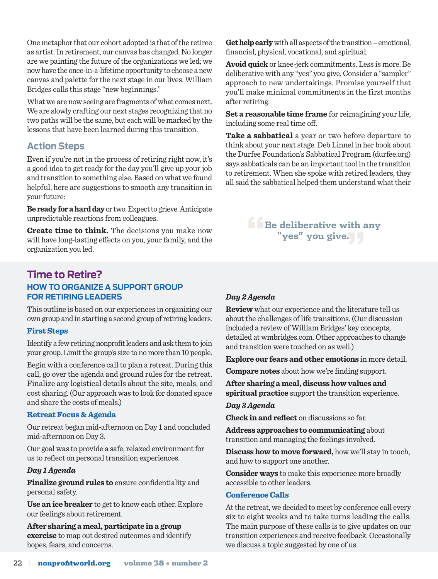One metaphor that our cohort adopted is that of the retiree as artist. In retirement, our canvas has changed. No longer are we painting the future of the organizations we led; we now have the once-in-a-lifetime opportunity to choose a new canvas and palette for the next stage in our lives. William Bridges calls this stage "new beginnings."

What we are now seeing are fragments of what comes next. We are slowly crafting our next stages recognizing that no two paths will be the same, but each will be marked by the lessons that have been learned during this transition.

### **Action Steps**

Even if you're not in the process of retiring right now, it's a good idea to get ready for the day you'll give up your job and transition to something else. Based on what we found helpful, here are suggestions to smooth any transition in your future:

**Be ready for a hard day** or two. Expect to grieve. Anticipate unpredictable reactions from colleagues.

**Create time to think.** The decisions you make now will have long-lasting effects on you, your family, and the organization you led.

## **Time to Retire? HOW TO ORGANIZE A SUPPORT GROUP FOR RETIRING LEADERS**

This outline is based on our experiences in organizing our own group and in starting a second group of retiring leaders.

#### First Steps

Identify a few retiring nonprofit leaders and ask them to join your group. Limit the group's size to no more than 10 people.

Begin with a conference call to plan a retreat. During this call, go over the agenda and ground rules for the retreat. Finalize any logistical details about the site, meals, and cost sharing. (Our approach was to look for donated space and share the costs of meals.)

#### Retreat Focus & Agenda

Our retreat began mid-afternoon on Day 1 and concluded mid-afternoon on Day 3.

Our goal was to provide a safe, relaxed environment for us to reflect on personal transition experiences.

#### *Day 1 Agenda*

**Finalize ground rules to** ensure confidentiality and personal safety.

**Use an ice breaker** to get to know each other. Explore our feelings about retirement.

**After sharing a meal, participate in a group exercise** to map out desired outcomes and identify hopes, fears, and concerns.

*Day 2 Agenda*

**Review** what our experience and the literature tell us about the challenges of life transitions. (Our discussion included a review of William Bridges' key concepts, detailed at [wmbridges.com.](http://www.wmbridges.com) Other approaches to change and transition were touched on as well.)

**Explore our fears and other emotions** in more detail.

**Compare notes** about how we're finding support.

**After sharing a meal, discuss how values and spiritual practice** support the transition experience.

#### *Day 3 Agenda*

**Check in and reflect** on discussions so far.

**Address approaches to communicating** about transition and managing the feelings involved.

**Discuss how to move forward,** how we'll stay in touch, and how to support one another.

**Consider ways** to make this experience more broadly accessible to other leaders.

#### Conference Calls

At the retreat, we decided to meet by conference call every six to eight weeks and to take turns leading the calls. The main purpose of these calls is to give updates on our transition experiences and receive feedback. Occasionally we discuss a topic suggested by one of us.

**Example 1 Be deliberative with any "yes" you give."**

financial, physical, vocational, and spiritual. **Avoid quick** or knee-jerk commitments. Less is more. Be deliberative with any "yes" you give. Consider a "sampler"

**Get help early** with all aspects of the transition – emotional,

approach to new undertakings. Promise yourself that you'll make minimal commitments in the first months after retiring.

**Set a reasonable time frame** for reimagining your life, including some real time off.

**Take a sabbatical** a year or two before departure to think about your next stage. Deb Linnel in her book about the Durfee Foundation's Sabbatical Program [\(durfee.org](http://www.durfee.org)) says sabbaticals can be an important tool in the transition to retirement. When she spoke with retired leaders, they all said the sabbatical helped them understand what their